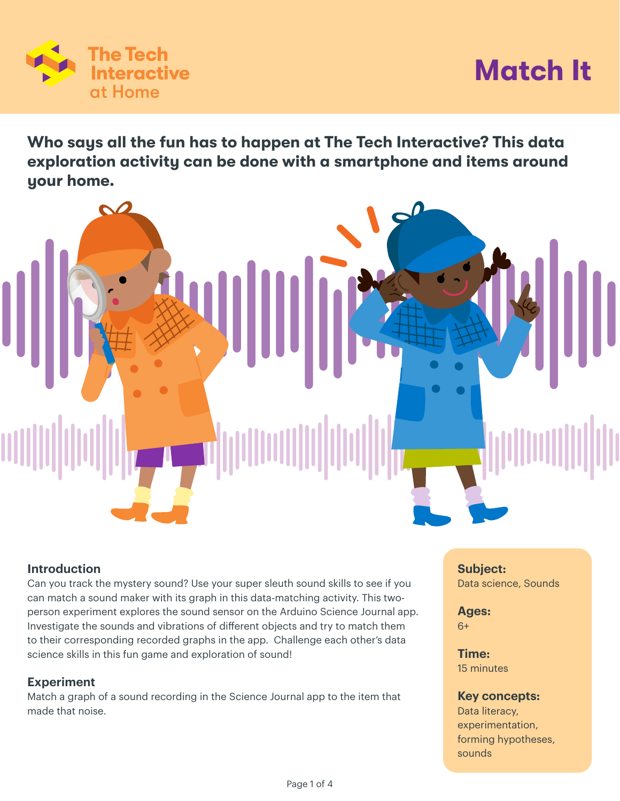

# **Match It**

**Who says all the fun has to happen at The Tech Interactive? This data exploration activity can be done with a smartphone and items around your home.**



## **Introduction**

Can you track the mystery sound? Use your super sleuth sound skills to see if you can match a sound maker with its graph in this data-matching activity. This twoperson experiment explores the sound sensor on the Arduino Science Journal app. Investigate the sounds and vibrations of different objects and try to match them to their corresponding recorded graphs in the app. Challenge each other's data science skills in this fun game and exploration of sound!

## **Experiment**

Match a graph of a sound recording in the Science Journal app to the item that made that noise.

**Subject:**  Data science, Sounds

**Ages:**  6+

**Time:** 15 minutes

#### **Key concepts:**

Data literacy, experimentation, forming hypotheses, sounds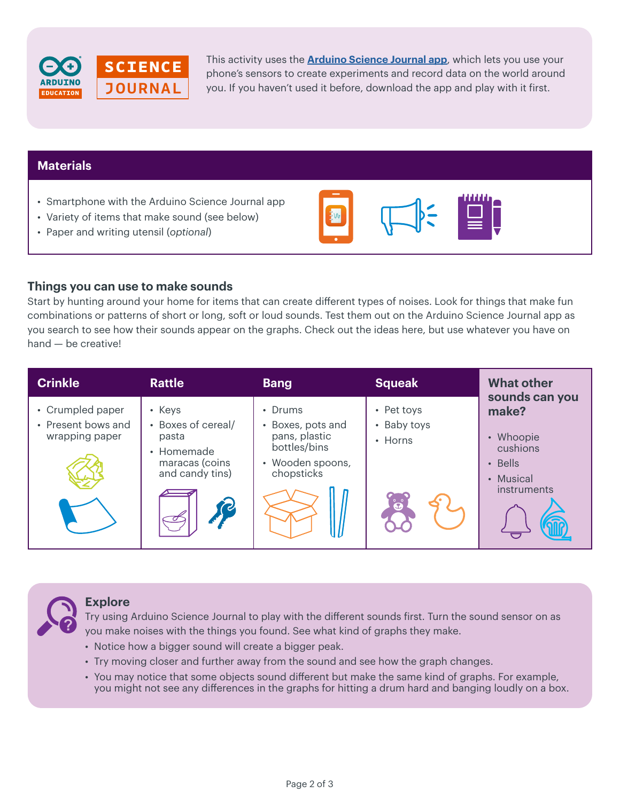

This activity uses the *[Arduino Science Journal app](https://www.arduino.cc/education/science-journal),* which lets you use your phone's sensors to create experiments and record data on the world around *Student, 12th Grade,*  you. If you haven't used it before, download the app and play with it first. *Bourlder HS*page of the

WHAT IS THE ARDUINO SCIENCE JOURNAL?

# **Materials**

- Smartphone with the Arduino Science Journal app
- Variety of items that make sound (see below)  $\mathcal{L}$  access to different topic-related lessons based on the use of the use of the use of the use of the use of the use of the use of the use of the use of the use of the use of the use of the use of the use of the use

devices into pocket-size science tools that encourage students to explore

It can be used on its own, or external sensors that  $\alpha$  is own, or external sensors that  $\alpha$ 

• Paper and writing utensil (optional)

## **Things you can use to make sounds**

The app is classed to app is classed to teach designed to teach designed to teach designed to teach designed to teach  $\sim$ 

Start by hunting around your home for items that can create different types of noises. Look for things that make fun combinations or patterns of short or long, soft or loud sounds. Test them out on the Arduino Science Journal app as you search to see how their sounds appear on the graphs. Check out the ideas here, but use whatever you have on hand - be creative! ouu sou

| <b>Crinkle</b>                                           | <b>Rattle</b>                                                                                  | <b>Bang</b>                                                                                     | <b>Squeak</b>                        | <b>What other</b>                                                                             |
|----------------------------------------------------------|------------------------------------------------------------------------------------------------|-------------------------------------------------------------------------------------------------|--------------------------------------|-----------------------------------------------------------------------------------------------|
| • Crumpled paper<br>• Present bows and<br>wrapping paper | • Keys<br>• Boxes of cereal/<br>pasta<br>• Homemade<br>maracas (coins<br>and candy tins)<br>(V | • Drums<br>• Boxes, pots and<br>pans, plastic<br>bottles/bins<br>• Wooden spoons,<br>chopsticks | • Pet toys<br>• Baby toys<br>• Horns | sounds can you<br>make?<br>• Whoopie<br>cushions<br>$\cdot$ Bells<br>• Musical<br>instruments |



### **Explore**

Try using Arduino Science Journal to play with the different sounds first. Turn the sound sensor on as you make noises with the things you found. See what kind of graphs they make.

- Notice how a bigger sound will create a bigger peak.
- Try moving closer and further away from the sound and see how the graph changes.
- You may notice that some objects sound different but make the same kind of graphs. For example, you might not see any differences in the graphs for hitting a drum hard and banging loudly on a box.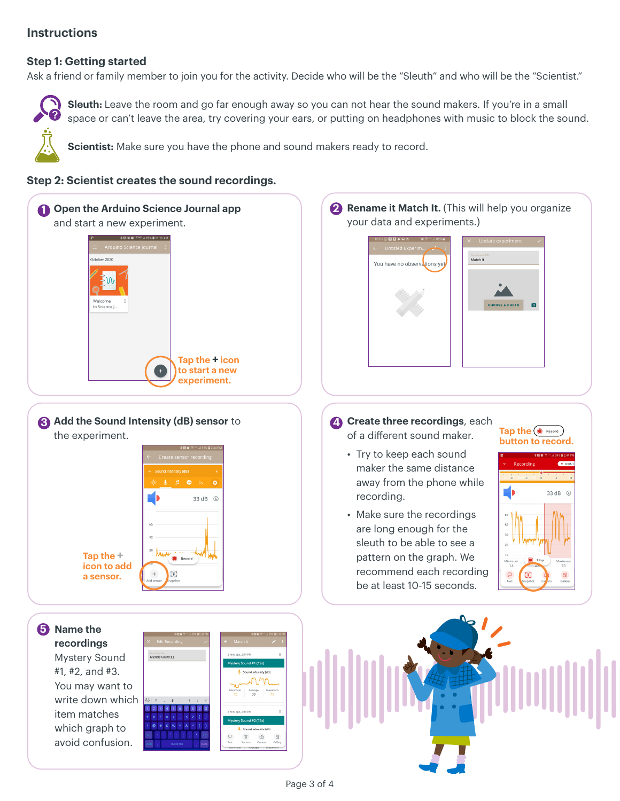# **Instructions**

## **Step 1: Getting started**

Ask a friend or family member to join you for the activity. Decide who will be the "Sleuth" and who will be the "Scientist."



**Sleuth:** Leave the room and go far enough away so you can not hear the sound makers. If you're in a small space or can't leave the area, try covering your ears, or putting on headphones with music to block the sound.

**Scientist:** Make sure you have the phone and sound makers ready to record.

## **Step 2: Scientist creates the sound recordings.**





**4** Create three recordings, each

- **Tap the**  $\bullet$  Record **button to record.**
- recommend each recording